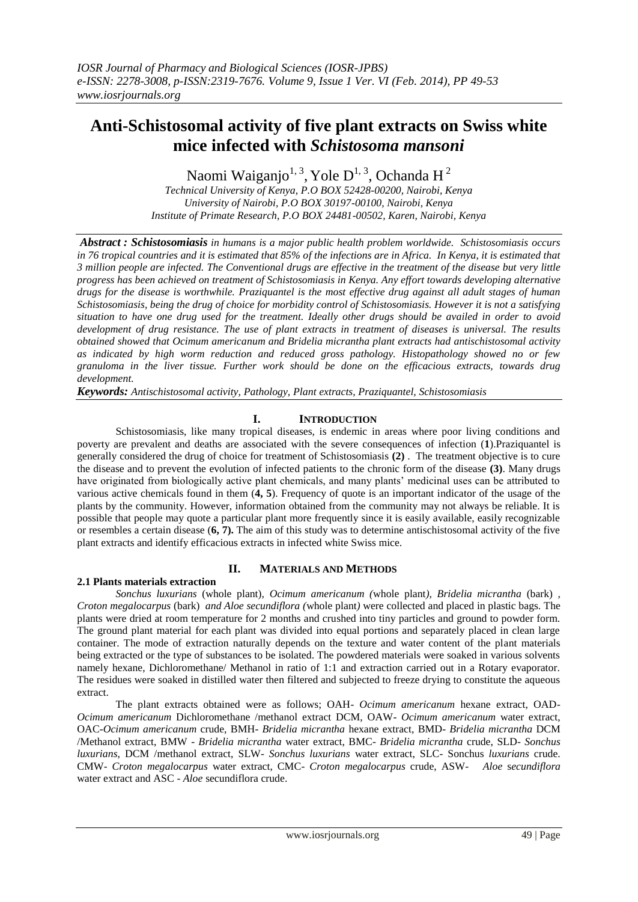## **Anti-Schistosomal activity of five plant extracts on Swiss white mice infected with** *Schistosoma mansoni*

Naomi Waiganjo<sup>1, 3</sup>, Yole D<sup>1, 3</sup>, Ochanda H<sup>2</sup>

*Technical University of Kenya, P.O BOX 52428-00200, Nairobi, Kenya University of Nairobi, P.O BOX 30197-00100, Nairobi, Kenya Institute of Primate Research, P.O BOX 24481-00502, Karen, Nairobi, Kenya*

*Abstract : Schistosomiasis in humans is a major public health problem worldwide. Schistosomiasis occurs in 76 tropical countries and it is estimated that 85% of the infections are in Africa. In Kenya, it is estimated that 3 million people are infected. The Conventional drugs are effective in the treatment of the disease but very little progress has been achieved on treatment of Schistosomiasis in Kenya. Any effort towards developing alternative drugs for the disease is worthwhile. Praziquantel is the most effective drug against all adult stages of human Schistosomiasis, being the drug of choice for morbidity control of Schistosomiasis. However it is not a satisfying situation to have one drug used for the treatment. Ideally other drugs should be availed in order to avoid development of drug resistance. The use of plant extracts in treatment of diseases is universal. The results obtained showed that Ocimum americanum and Bridelia micrantha plant extracts had antischistosomal activity as indicated by high worm reduction and reduced gross pathology. Histopathology showed no or few granuloma in the liver tissue. Further work should be done on the efficacious extracts, towards drug development.*

*Keywords: Antischistosomal activity, Pathology, Plant extracts, Praziquantel, Schistosomiasis*

## **I. INTRODUCTION**

Schistosomiasis, like many tropical diseases, is endemic in areas where poor living conditions and poverty are prevalent and deaths are associated with the severe consequences of infection (**1**).Praziquantel is generally considered the drug of choice for treatment of Schistosomiasis **(2)** . The treatment objective is to cure the disease and to prevent the evolution of infected patients to the chronic form of the disease **(3)**. Many drugs have originated from biologically active plant chemicals, and many plants' medicinal uses can be attributed to various active chemicals found in them (**4, 5**). Frequency of quote is an important indicator of the usage of the plants by the community. However, information obtained from the community may not always be reliable. It is possible that people may quote a particular plant more frequently since it is easily available, easily recognizable or resembles a certain disease (**6, 7).** The aim of this study was to determine antischistosomal activity of the five plant extracts and identify efficacious extracts in infected white Swiss mice.

## **2.1 Plants materials extraction**

## **II. MATERIALS AND METHODS**

*Sonchus luxurians* (whole plant)*, Ocimum americanum (*whole plant*), Bridelia micrantha* (bark) *, Croton megalocarpus* (bark) *and Aloe secundiflora (*whole plant*)* were collected and placed in plastic bags. The plants were dried at room temperature for 2 months and crushed into tiny particles and ground to powder form. The ground plant material for each plant was divided into equal portions and separately placed in clean large container. The mode of extraction naturally depends on the texture and water content of the plant materials being extracted or the type of substances to be isolated. The powdered materials were soaked in various solvents namely hexane, Dichloromethane/ Methanol in ratio of 1:1 and extraction carried out in a Rotary evaporator. The residues were soaked in distilled water then filtered and subjected to freeze drying to constitute the aqueous extract.

The plant extracts obtained were as follows; OAH- *Ocimum americanum* hexane extract, OAD-*Ocimum americanum* Dichloromethane /methanol extract DCM, OAW- *Ocimum americanum* water extract, OAC-*Ocimum americanum* crude, BMH- *Bridelia micrantha* hexane extract, BMD- *Bridelia micrantha* DCM /Methanol extract, BMW - *Bridelia micrantha* water extract, BMC- *Bridelia micrantha* crude, SLD- *Sonchus luxurians*, DCM /methanol extract, SLW- *Sonchus luxurians* water extract, SLC- Sonchus *luxurians* crude. CMW- *Croton megalocarpus* water extract, CMC- *Croton megalocarpus* crude, ASW- *Aloe* s*ecundiflora* water extract and ASC - *Aloe* secundiflora crude.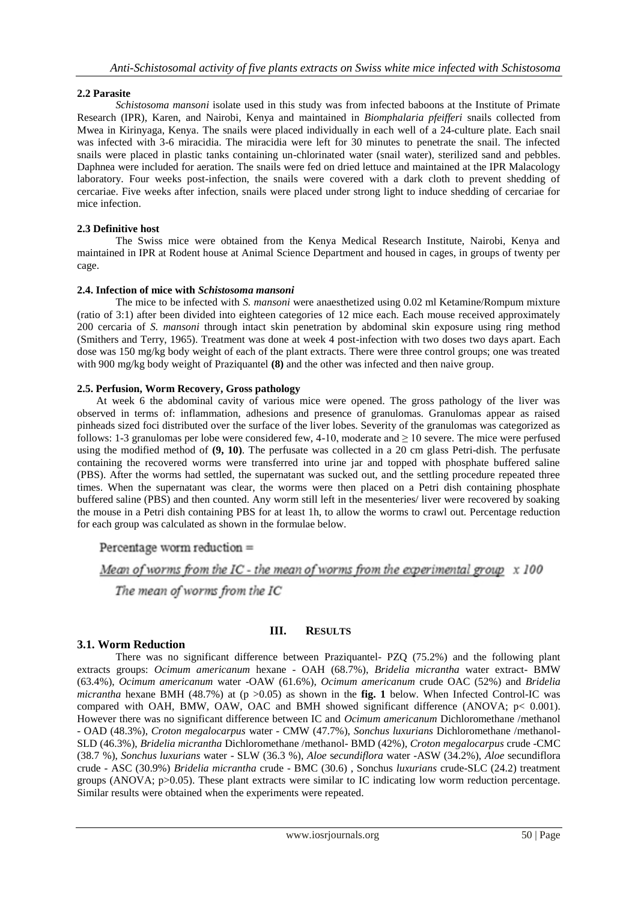## **2.2 Parasite**

*Schistosoma mansoni* isolate used in this study was from infected baboons at the Institute of Primate Research (IPR), Karen, and Nairobi, Kenya and maintained in *Biomphalaria pfeifferi* snails collected from Mwea in Kirinyaga, Kenya. The snails were placed individually in each well of a 24-culture plate. Each snail was infected with 3-6 miracidia. The miracidia were left for 30 minutes to penetrate the snail. The infected snails were placed in plastic tanks containing un-chlorinated water (snail water), sterilized sand and pebbles. Daphnea were included for aeration. The snails were fed on dried lettuce and maintained at the IPR Malacology laboratory. Four weeks post-infection, the snails were covered with a dark cloth to prevent shedding of cercariae. Five weeks after infection, snails were placed under strong light to induce shedding of cercariae for mice infection.

## **2.3 Definitive host**

The Swiss mice were obtained from the Kenya Medical Research Institute, Nairobi, Kenya and maintained in IPR at Rodent house at Animal Science Department and housed in cages, in groups of twenty per cage.

## **2.4. Infection of mice with** *Schistosoma mansoni*

The mice to be infected with *S. mansoni* were anaesthetized using 0.02 ml Ketamine/Rompum mixture (ratio of 3:1) after been divided into eighteen categories of 12 mice each. Each mouse received approximately 200 cercaria of *S. mansoni* through intact skin penetration by abdominal skin exposure using ring method (Smithers and Terry, 1965). Treatment was done at week 4 post-infection with two doses two days apart. Each dose was 150 mg/kg body weight of each of the plant extracts. There were three control groups; one was treated with 900 mg/kg body weight of Praziquantel **(8)** and the other was infected and then naive group.

## **2.5. Perfusion, Worm Recovery, Gross pathology**

At week 6 the abdominal cavity of various mice were opened. The gross pathology of the liver was observed in terms of: inflammation, adhesions and presence of granulomas. Granulomas appear as raised pinheads sized foci distributed over the surface of the liver lobes. Severity of the granulomas was categorized as follows: 1-3 granulomas per lobe were considered few, 4-10, moderate and  $\geq 10$  severe. The mice were perfused using the modified method of **(9, 10)**. The perfusate was collected in a 20 cm glass Petri-dish. The perfusate containing the recovered worms were transferred into urine jar and topped with phosphate buffered saline (PBS). After the worms had settled, the supernatant was sucked out, and the settling procedure repeated three times. When the supernatant was clear, the worms were then placed on a Petri dish containing phosphate buffered saline (PBS) and then counted. Any worm still left in the mesenteries/ liver were recovered by soaking the mouse in a Petri dish containing PBS for at least 1h, to allow the worms to crawl out. Percentage reduction for each group was calculated as shown in the formulae below.

## Percentage worm reduction  $=$

# Mean of worms from the IC - the mean of worms from the experimental group  $x 100$

The mean of worms from the IC

## **III. RESULTS**

## **3.1. Worm Reduction**

There was no significant difference between Praziquantel*-* PZQ (75.2%) and the following plant extracts groups: *Ocimum americanum* hexane - OAH (68.7%), *Bridelia micrantha* water extract- BMW (63.4%), *Ocimum americanum* water -OAW (61.6%), *Ocimum americanum* crude OAC (52%) and *Bridelia micrantha* hexane BMH (48.7%) at (p  $>0.05$ ) as shown in the **fig.** 1 below. When Infected Control-IC was compared with OAH, BMW, OAW, OAC and BMH showed significant difference (ANOVA; p< 0.001). However there was no significant difference between IC and *Ocimum americanum* Dichloromethane /methanol - OAD (48.3%), *Croton megalocarpus* water - CMW (47.7%), *Sonchus luxurians* Dichloromethane /methanol-SLD (46.3%), *Bridelia micrantha* Dichloromethane /methanol- BMD (42%), *Croton megalocarpus* crude -CMC (38.7 %), *Sonchus luxurians* water - SLW (36.3 %), *Aloe* s*ecundiflora* water -ASW (34.2%), *Aloe* secundiflora crude - ASC (30.9%) *Bridelia micrantha* crude - BMC (30.6) , Sonchus *luxurians* crude-SLC (24.2) treatment groups (ANOVA; p>0.05). These plant extracts were similar to IC indicating low worm reduction percentage. Similar results were obtained when the experiments were repeated.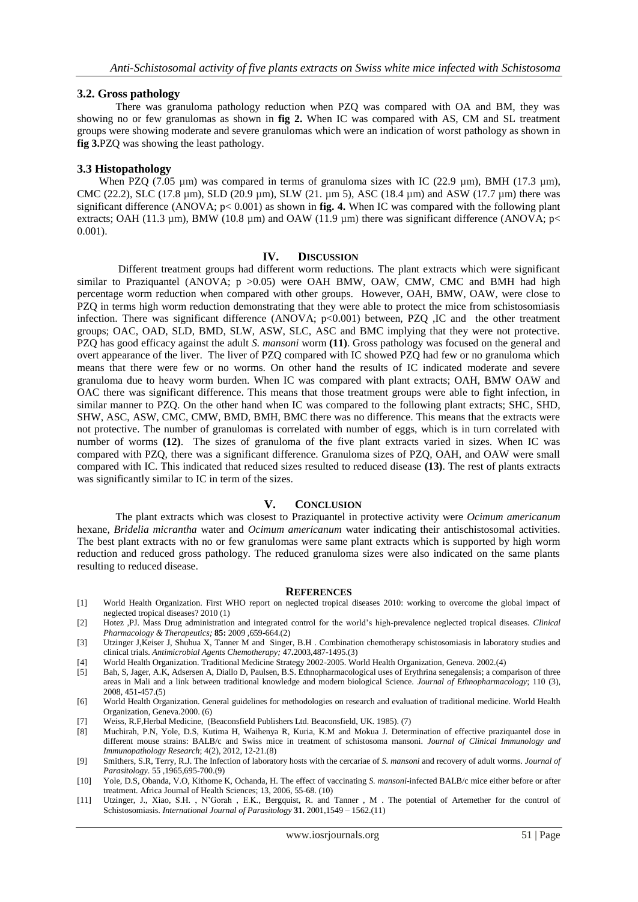### **3.2. Gross pathology**

There was granuloma pathology reduction when PZQ was compared with OA and BM, they was showing no or few granulomas as shown in **fig 2.** When IC was compared with AS, CM and SL treatment groups were showing moderate and severe granulomas which were an indication of worst pathology as shown in **fig 3.**PZQ was showing the least pathology.

### **3.3 Histopathology**

When PZQ (7.05  $\mu$ m) was compared in terms of granuloma sizes with IC (22.9  $\mu$ m), BMH (17.3  $\mu$ m), CMC (22.2), SLC (17.8  $\mu$ m), SLD (20.9  $\mu$ m), SLW (21.  $\mu$ m 5), ASC (18.4  $\mu$ m) and ASW (17.7  $\mu$ m) there was significant difference (ANOVA; p< 0.001) as shown in **fig. 4.** When IC was compared with the following plant extracts; OAH (11.3 µm), BMW (10.8 µm) and OAW (11.9 µm) there was significant difference (ANOVA; p< 0.001).

### **IV. DISCUSSION**

Different treatment groups had different worm reductions. The plant extracts which were significant similar to Praziquantel (ANOVA;  $p > 0.05$ ) were OAH BMW, OAW, CMW, CMC and BMH had high percentage worm reduction when compared with other groups. However, OAH, BMW, OAW, were close to PZQ in terms high worm reduction demonstrating that they were able to protect the mice from schistosomiasis infection. There was significant difference (ANOVA;  $p<0.001$ ) between, PZQ ,IC and the other treatment groups; OAC, OAD, SLD, BMD, SLW, ASW, SLC, ASC and BMC implying that they were not protective. PZQ has good efficacy against the adult *S. mansoni* worm **(11)**. Gross pathology was focused on the general and overt appearance of the liver. The liver of PZQ compared with IC showed PZQ had few or no granuloma which means that there were few or no worms. On other hand the results of IC indicated moderate and severe granuloma due to heavy worm burden. When IC was compared with plant extracts; OAH, BMW OAW and OAC there was significant difference. This means that those treatment groups were able to fight infection, in similar manner to PZQ. On the other hand when IC was compared to the following plant extracts; SHC, SHD, SHW, ASC, ASW, CMC, CMW, BMD, BMH, BMC there was no difference. This means that the extracts were not protective. The number of granulomas is correlated with number of eggs, which is in turn correlated with number of worms **(12)**. The sizes of granuloma of the five plant extracts varied in sizes. When IC was compared with PZQ, there was a significant difference. Granuloma sizes of PZQ, OAH, and OAW were small compared with IC. This indicated that reduced sizes resulted to reduced disease **(13)**. The rest of plants extracts was significantly similar to IC in term of the sizes.

### **V. CONCLUSION**

The plant extracts which was closest to Praziquantel in protective activity were *Ocimum americanum* hexane, *Bridelia micrantha* water and *Ocimum americanum* water indicating their antischistosomal activities. The best plant extracts with no or few granulomas were same plant extracts which is supported by high worm reduction and reduced gross pathology. The reduced granuloma sizes were also indicated on the same plants resulting to reduced disease.

#### **REFERENCES**

- [1] World Health Organization. First WHO report on neglected tropical diseases 2010: working to overcome the global impact of neglected tropical diseases? 2010 (1)
- [2] Hotez ,PJ. Mass Drug administration and integrated control for the world's high-prevalence neglected tropical diseases. *Clinical Pharmacology & Therapeutics;* **85:** 2009 ,659-664.(2)
- [3] Utzinger J,Keiser J, Shuhua X, Tanner M and Singer, B.H . Combination chemotherapy schistosomiasis in laboratory studies and clinical trials. *Antimicrobial Agents Chemotherapy;* 47**.**2003,487-1495.(3)
- [4] World Health Organization. Traditional Medicine Strategy 2002-2005. World Health Organization, Geneva. 2002.(4)
- [5] Bah, S, Jager, A.K, Adsersen A, Diallo D, Paulsen, B.S. Ethnopharmacological uses of Erythrina senegalensis; a comparison of three areas in Mali and a link between traditional knowledge and modern biological Science. *Journal of Ethnopharmacology*; 110 (3), 2008, 451-457.(5)
- [6] World Health Organization. General guidelines for methodologies on research and evaluation of traditional medicine. World Health Organization, Geneva.2000. (6)
- [7] Weiss, R.F,Herbal Medicine, (Beaconsfield Publishers Ltd. Beaconsfield, UK. 1985). (7)
- [8] Muchirah, P.N, Yole, D.S, Kutima H, Waihenya R, Kuria, K.M and Mokua J. Determination of effective praziquantel dose in different mouse strains: BALB/c and Swiss mice in treatment of schistosoma mansoni. *Journal of Clinical Immunology and Immunopathology Research*; 4(2), 2012, 12-21.(8)
- [9] Smithers, S.R, Terry, R.J. The Infection of laboratory hosts with the cercariae of *S. mansoni* and recovery of adult worms. *Journal of Parasitology*. 55 ,1965,695-700.(9)
- [10] Yole, D.S, Obanda, V.O, Kithome K, Ochanda, H. The effect of vaccinating *S. mansoni*-infected BALB/c mice either before or after treatment. Africa Journal of Health Sciences; 13, 2006, 55-68. (10)
- [11] Utzinger, J., Xiao, S.H. , N'Gorah , E.K., Bergquist, R. and Tanner , M . The potential of Artemether for the control of Schistosomiasis. *International Journal of Parasitology* **31.** 2001,1549 – 1562.(11)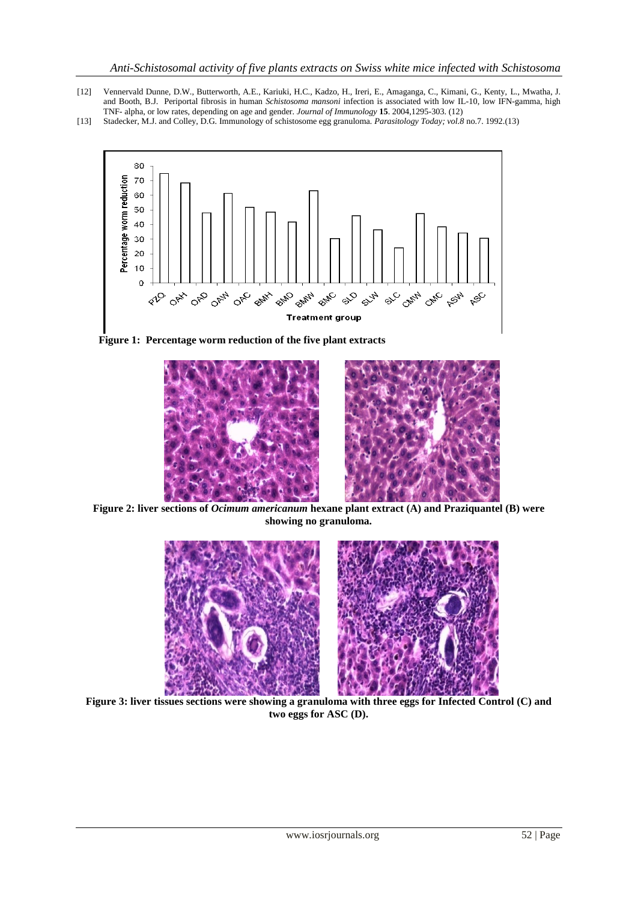- [12] Vennervald Dunne, D.W., Butterworth, A.E., Kariuki, H.C., Kadzo, H., Ireri, E., Amaganga, C., Kimani, G., Kenty, L., Mwatha, J. and Booth, B.J. Periportal fibrosis in human *Schistosoma mansoni* infection is associated with low IL-10, low IFN-gamma, high TNF- alpha, or low rates, depending on age and gender. *Journal of Immunology* **15**. 2004,1295-303. (12)
- [13] Stadecker, M.J. and Colley, D.G. Immunology of schistosome egg granuloma*. Parasitology Today; vol.8* no.7. 1992.(13)



 **Figure 1: Percentage worm reduction of the five plant extracts** 



**Figure 2: liver sections of** *Ocimum americanum* **hexane plant extract (A) and Praziquantel (B) were showing no granuloma.**



**Figure 3: liver tissues sections were showing a granuloma with three eggs for Infected Control (C) and two eggs for ASC (D).**